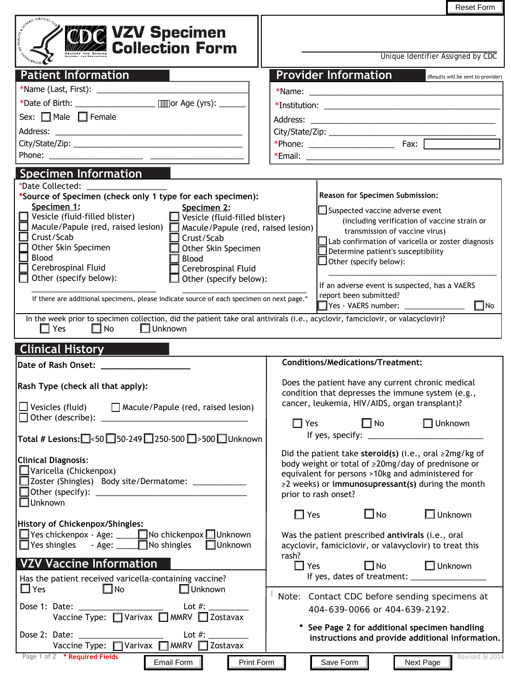|                                                                                                                                                                                                                                                                                                                                                                                                                                                                                                                                                       | <b>Reset Form</b>                                                                                                                                                                                                                                                                                                                                                                                                  |  |
|-------------------------------------------------------------------------------------------------------------------------------------------------------------------------------------------------------------------------------------------------------------------------------------------------------------------------------------------------------------------------------------------------------------------------------------------------------------------------------------------------------------------------------------------------------|--------------------------------------------------------------------------------------------------------------------------------------------------------------------------------------------------------------------------------------------------------------------------------------------------------------------------------------------------------------------------------------------------------------------|--|
| <b><b>THE VZV Specimen</b><br/> Collection Form</b>                                                                                                                                                                                                                                                                                                                                                                                                                                                                                                   | Unique Identifier Assigned by CDC                                                                                                                                                                                                                                                                                                                                                                                  |  |
| <b>Patient Information</b>                                                                                                                                                                                                                                                                                                                                                                                                                                                                                                                            | <b>Provider Information</b><br>(Results will be sent to provider)                                                                                                                                                                                                                                                                                                                                                  |  |
|                                                                                                                                                                                                                                                                                                                                                                                                                                                                                                                                                       |                                                                                                                                                                                                                                                                                                                                                                                                                    |  |
|                                                                                                                                                                                                                                                                                                                                                                                                                                                                                                                                                       |                                                                                                                                                                                                                                                                                                                                                                                                                    |  |
| Sex: □ Male □ Female                                                                                                                                                                                                                                                                                                                                                                                                                                                                                                                                  |                                                                                                                                                                                                                                                                                                                                                                                                                    |  |
|                                                                                                                                                                                                                                                                                                                                                                                                                                                                                                                                                       |                                                                                                                                                                                                                                                                                                                                                                                                                    |  |
|                                                                                                                                                                                                                                                                                                                                                                                                                                                                                                                                                       |                                                                                                                                                                                                                                                                                                                                                                                                                    |  |
|                                                                                                                                                                                                                                                                                                                                                                                                                                                                                                                                                       |                                                                                                                                                                                                                                                                                                                                                                                                                    |  |
|                                                                                                                                                                                                                                                                                                                                                                                                                                                                                                                                                       |                                                                                                                                                                                                                                                                                                                                                                                                                    |  |
| <b>Specimen Information</b><br>*Date Collected:                                                                                                                                                                                                                                                                                                                                                                                                                                                                                                       |                                                                                                                                                                                                                                                                                                                                                                                                                    |  |
| *Source of Specimen (check only 1 type for each specimen):<br>Specimen 1:<br>Specimen 2:<br>$\Box$ Vesicle (fluid-filled blister)<br>$\Box$ Vesicle (fluid-filled blister)<br>Macule/Papule (red, raised lesion) Macule/Papule (red, raised lesion)<br>Crust/Scab<br>Crust/Scab<br>Other Skin Specimen<br>Other Skin Specimen<br><b>Blood</b><br>Blood<br>Cerebrospinal Fluid<br>Cerebrospinal Fluid<br>Other (specify below):<br>Other (specify below):<br>If there are additional specimens, please indicate source of each specimen on next page.* | <b>Reason for Specimen Submission:</b><br>Suspected vaccine adverse event<br>(including verification of vaccine strain or<br>transmission of vaccine virus)<br>Lab confirmation of varicella or zoster diagnosis<br>Determine patient's susceptibility<br>JOther (specify below):<br>If an adverse event is suspected, has a VAERS<br>report been submitted?<br>$\square$ No<br>Yes - VAERS number: ______________ |  |
| In the week prior to specimen collection, did the patient take oral antivirals (i.e., acyclovir, famciclovir, or valacyclovir)?<br>$\square$ No<br>$\Box$ Yes<br>$\Box$ Unknown                                                                                                                                                                                                                                                                                                                                                                       |                                                                                                                                                                                                                                                                                                                                                                                                                    |  |
| <b>Clinical History</b>                                                                                                                                                                                                                                                                                                                                                                                                                                                                                                                               |                                                                                                                                                                                                                                                                                                                                                                                                                    |  |
|                                                                                                                                                                                                                                                                                                                                                                                                                                                                                                                                                       |                                                                                                                                                                                                                                                                                                                                                                                                                    |  |
| Date of Rash Onset:                                                                                                                                                                                                                                                                                                                                                                                                                                                                                                                                   | <b>Conditions/Medications/Treatment:</b>                                                                                                                                                                                                                                                                                                                                                                           |  |
| Rash Type (check all that apply):<br>$\Box$ Vesicles (fluid) $\Box$ Macule/Papule (red, raised lesion)                                                                                                                                                                                                                                                                                                                                                                                                                                                | Does the patient have any current chronic medical<br>condition that depresses the immune system (e.g.,<br>cancer, leukemia, HIV/AIDS, organ transplant)?                                                                                                                                                                                                                                                           |  |
|                                                                                                                                                                                                                                                                                                                                                                                                                                                                                                                                                       | ■ No ■ Unknown<br>$\Box$ Yes                                                                                                                                                                                                                                                                                                                                                                                       |  |
| Total # Lesions: 350 350-249 250-500 3500 JUnknown                                                                                                                                                                                                                                                                                                                                                                                                                                                                                                    | If yes, specify: $\frac{1}{2}$ if yes, specify:                                                                                                                                                                                                                                                                                                                                                                    |  |
| <b>Clinical Diagnosis:</b><br>$\Box$ Varicella (Chickenpox)<br>□ Zoster (Shingles) Body site/Dermatome: _____________                                                                                                                                                                                                                                                                                                                                                                                                                                 | Did the patient take steroid(s) (i.e., oral $\geq 2$ mg/kg of<br>body weight or total of ≥20mg/day of prednisone or<br>equivalent for persons >10kg and administered for<br>≥2 weeks) or immunosupressant(s) during the month<br>prior to rash onset?                                                                                                                                                              |  |
| $\square$ Unknown                                                                                                                                                                                                                                                                                                                                                                                                                                                                                                                                     | $\square$ No<br>$\Box$ Unknown<br>$\square$ Yes                                                                                                                                                                                                                                                                                                                                                                    |  |
| History of Chickenpox/Shingles:<br>$\Box$ Yes chickenpox - Age: $\Box$ No chickenpox $\Box$ Unknown<br>$\Box$ Yes shingles - Age: $\Box$ No shingles $\Box$ Unknown<br><b>VZV Vaccine Information</b>                                                                                                                                                                                                                                                                                                                                                 | Was the patient prescribed antivirals (i.e., oral<br>acyclovir, famiciclovir, or valavyclovir) to treat this<br>rash?<br>□ No □ Unknown<br>$\Box$ Yes                                                                                                                                                                                                                                                              |  |
| Has the patient received varicella-containing vaccine?                                                                                                                                                                                                                                                                                                                                                                                                                                                                                                |                                                                                                                                                                                                                                                                                                                                                                                                                    |  |
| $\Box$ Yes<br>$\square$ No<br>$\Box$ Unknown                                                                                                                                                                                                                                                                                                                                                                                                                                                                                                          | Note: Contact CDC before sending specimens at<br>404-639-0066 or 404-639-2192.                                                                                                                                                                                                                                                                                                                                     |  |
| Vaccine Type: □ Varivax □ MMRV □ Zostavax<br>Vaccine Type: □ Varivax □ MMRV □ Zostavax                                                                                                                                                                                                                                                                                                                                                                                                                                                                | See Page 2 for additional specimen handling<br>instructions and provide additional information.                                                                                                                                                                                                                                                                                                                    |  |